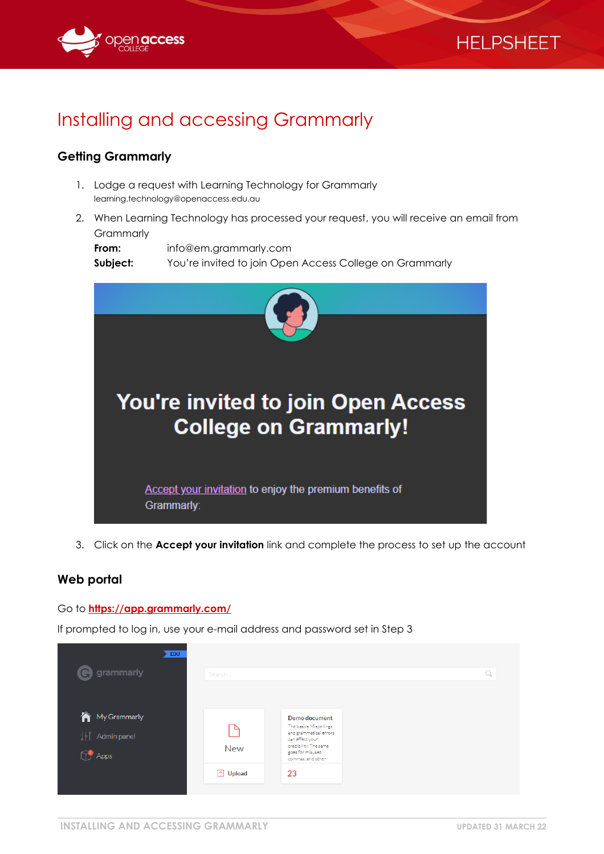



# Installing and accessing Grammarly

### **Getting Grammarly**

- 1. Lodge a request with Learning Technology for Grammarly learning.technology@openaccess.edu.au
- 2. When Learning Technology has processed your request, you will receive an email from **Grammarly**

| From:    | info@em.grammarly.com                                   |
|----------|---------------------------------------------------------|
| Subject: | You're invited to join Open Access College on Grammarly |



3. Click on the **Accept your invitation** link and complete the process to set up the account

#### **Web portal**

Go to **<https://app.grammarly.com/>**

If prompted to log in, use your e-mail address and password set in Step 3

| EDU<br><b>G</b> grammarly                           | Search           |                                                                                                                                                        | Q |
|-----------------------------------------------------|------------------|--------------------------------------------------------------------------------------------------------------------------------------------------------|---|
| My Grammarly<br>↓  Admin panel<br><sup>9</sup> Apps | New              | Demo document<br>The basics Mispellings<br>and grammatical errors<br>can effect your<br>credibility. The same<br>goes for misused<br>commas, and other |   |
|                                                     | <b>ID</b> Upload | 23                                                                                                                                                     |   |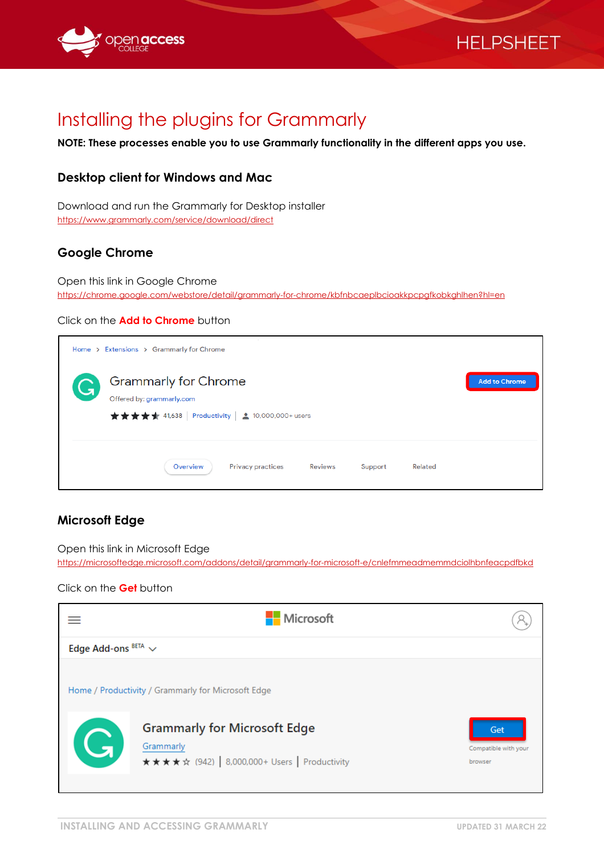

# **HELPSHEET**

# Installing the plugins for Grammarly

**NOTE: These processes enable you to use Grammarly functionality in the different apps you use.**

## **Desktop client for Windows and Mac**

Download and run the Grammarly for Desktop installer <https://www.grammarly.com/service/download/direct>

## **Google Chrome**

Open this link in Google Chrome <https://chrome.google.com/webstore/detail/grammarly-for-chrome/kbfnbcaeplbcioakkpcpgfkobkghlhen?hl=en>

#### Click on the **Add to Chrome** button

|   | Home > Extensions > Grammarly for Chrome                                                                             |                      |
|---|----------------------------------------------------------------------------------------------------------------------|----------------------|
| G | <b>Grammarly for Chrome</b><br>Offered by: grammarly.com<br>★★★★★ 41,638   Productivity   <u>±</u> 10,000,000+ users | <b>Add to Chrome</b> |
|   | <b>Privacy practices</b><br>Overview<br><b>Reviews</b><br>Support<br>Related                                         |                      |

### **Microsoft Edge**

Open this link in Microsoft Edge <https://microsoftedge.microsoft.com/addons/detail/grammarly-for-microsoft-e/cnlefmmeadmemmdciolhbnfeacpdfbkd>

#### Click on the **Get** button